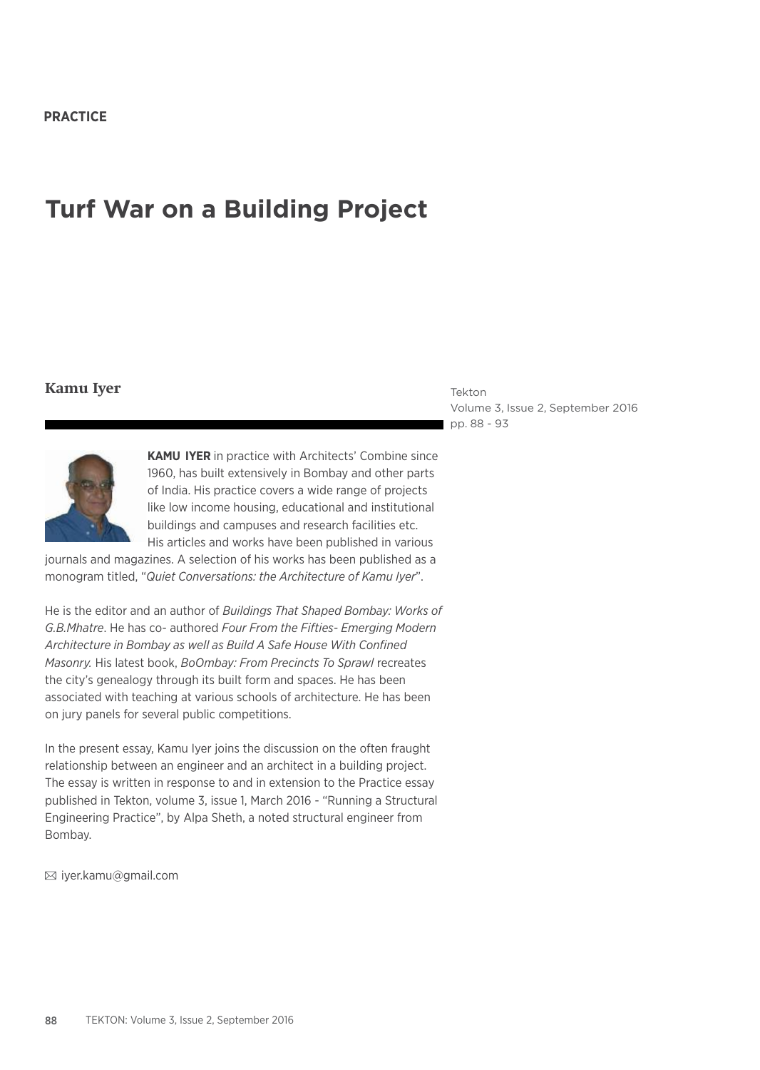# **Turf War on a Building Project**

## **Kamu Iyer**

Tekton Volume 3, Issue 2, September 2016 pp. 88 - 93



**KAMU IYER** in practice with Architects' Combine since 1960, has built extensively in Bombay and other parts of India. His practice covers a wide range of projects like low income housing, educational and institutional buildings and campuses and research facilities etc. His articles and works have been published in various

journals and magazines. A selection of his works has been published as a monogram titled, "*Quiet Conversations: the Architecture of Kamu Iyer*".

He is the editor and an author of *Buildings That Shaped Bombay: Works of G.B.Mhatre*. He has co- authored *Four From the Fifties- Emerging Modern Architecture in Bombay as well as Build A Safe House With Confined Masonry.* His latest book, *BoOmbay: From Precincts To Sprawl* recreates the city's genealogy through its built form and spaces. He has been associated with teaching at various schools of architecture. He has been on jury panels for several public competitions.

In the present essay, Kamu Iyer joins the discussion on the often fraught relationship between an engineer and an architect in a building project. The essay is written in response to and in extension to the Practice essay published in Tekton, volume 3, issue 1, March 2016 - "Running a Structural Engineering Practice", by Alpa Sheth, a noted structural engineer from Bombay.

iyer.kamu@gmail.com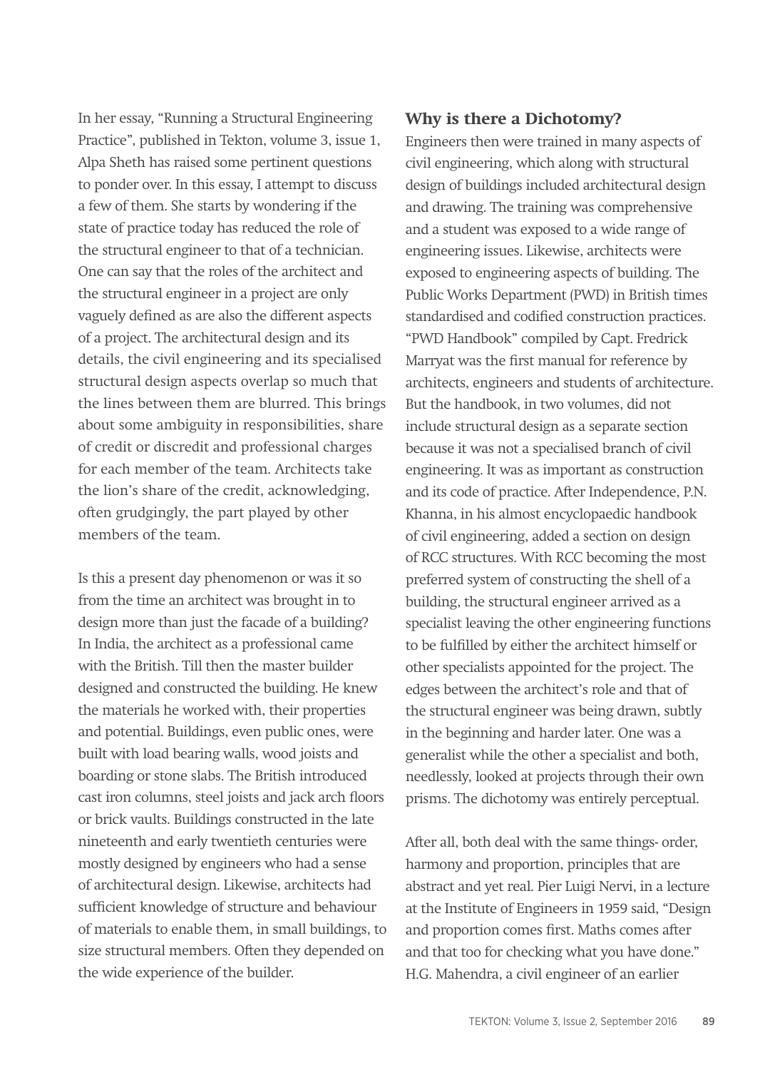In her essay, "Running a Structural Engineering Practice", published in Tekton, volume 3, issue 1, Alpa Sheth has raised some pertinent questions to ponder over. In this essay, I attempt to discuss a few of them. She starts by wondering if the state of practice today has reduced the role of the structural engineer to that of a technician. One can say that the roles of the architect and the structural engineer in a project are only vaguely defined as are also the different aspects of a project. The architectural design and its details, the civil engineering and its specialised structural design aspects overlap so much that the lines between them are blurred. This brings about some ambiguity in responsibilities, share of credit or discredit and professional charges for each member of the team. Architects take the lion's share of the credit, acknowledging, often grudgingly, the part played by other members of the team.

Is this a present day phenomenon or was it so from the time an architect was brought in to design more than just the facade of a building? In India, the architect as a professional came with the British. Till then the master builder designed and constructed the building. He knew the materials he worked with, their properties and potential. Buildings, even public ones, were built with load bearing walls, wood joists and boarding or stone slabs. The British introduced cast iron columns, steel joists and jack arch floors or brick vaults. Buildings constructed in the late nineteenth and early twentieth centuries were mostly designed by engineers who had a sense of architectural design. Likewise, architects had sufficient knowledge of structure and behaviour of materials to enable them, in small buildings, to size structural members. Often they depended on the wide experience of the builder.

# **Why is there a Dichotomy?**

Engineers then were trained in many aspects of civil engineering, which along with structural design of buildings included architectural design and drawing. The training was comprehensive and a student was exposed to a wide range of engineering issues. Likewise, architects were exposed to engineering aspects of building. The Public Works Department (PWD) in British times standardised and codified construction practices. "PWD Handbook" compiled by Capt. Fredrick Marryat was the first manual for reference by architects, engineers and students of architecture. But the handbook, in two volumes, did not include structural design as a separate section because it was not a specialised branch of civil engineering. It was as important as construction and its code of practice. After Independence, P.N. Khanna, in his almost encyclopaedic handbook of civil engineering, added a section on design of RCC structures. With RCC becoming the most preferred system of constructing the shell of a building, the structural engineer arrived as a specialist leaving the other engineering functions to be fulfilled by either the architect himself or other specialists appointed for the project. The edges between the architect's role and that of the structural engineer was being drawn, subtly in the beginning and harder later. One was a generalist while the other a specialist and both, needlessly, looked at projects through their own prisms. The dichotomy was entirely perceptual.

After all, both deal with the same things- order, harmony and proportion, principles that are abstract and yet real. Pier Luigi Nervi, in a lecture at the Institute of Engineers in 1959 said, "Design and proportion comes first. Maths comes after and that too for checking what you have done." H.G. Mahendra, a civil engineer of an earlier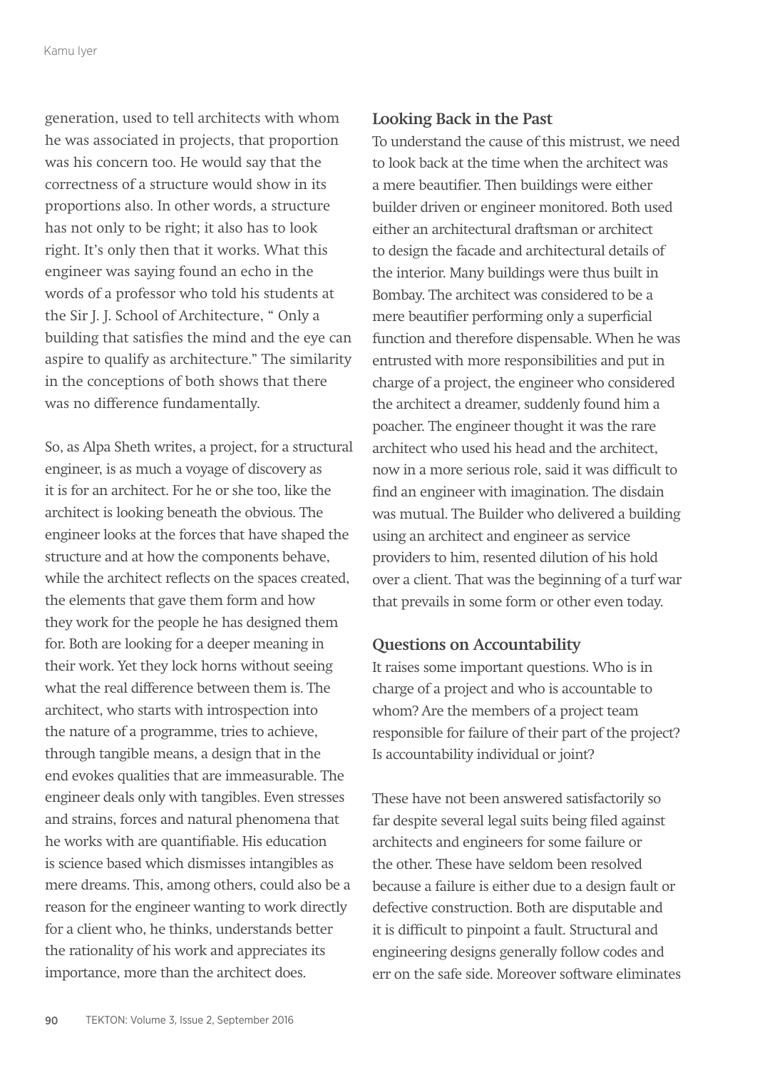generation, used to tell architects with whom he was associated in projects, that proportion was his concern too. He would say that the correctness of a structure would show in its proportions also. In other words, a structure has not only to be right; it also has to look right. It's only then that it works. What this engineer was saying found an echo in the words of a professor who told his students at the Sir J. J. School of Architecture, " Only a building that satisfies the mind and the eye can aspire to qualify as architecture." The similarity in the conceptions of both shows that there was no difference fundamentally.

So, as Alpa Sheth writes, a project, for a structural engineer, is as much a voyage of discovery as it is for an architect. For he or she too, like the architect is looking beneath the obvious. The engineer looks at the forces that have shaped the structure and at how the components behave, while the architect reflects on the spaces created, the elements that gave them form and how they work for the people he has designed them for. Both are looking for a deeper meaning in their work. Yet they lock horns without seeing what the real difference between them is. The architect, who starts with introspection into the nature of a programme, tries to achieve, through tangible means, a design that in the end evokes qualities that are immeasurable. The engineer deals only with tangibles. Even stresses and strains, forces and natural phenomena that he works with are quantifiable. His education is science based which dismisses intangibles as mere dreams. This, among others, could also be a reason for the engineer wanting to work directly for a client who, he thinks, understands better the rationality of his work and appreciates its importance, more than the architect does.

# **Looking Back in the Past**

To understand the cause of this mistrust, we need to look back at the time when the architect was a mere beautifier. Then buildings were either builder driven or engineer monitored. Both used either an architectural draftsman or architect to design the facade and architectural details of the interior. Many buildings were thus built in Bombay. The architect was considered to be a mere beautifier performing only a superficial function and therefore dispensable. When he was entrusted with more responsibilities and put in charge of a project, the engineer who considered the architect a dreamer, suddenly found him a poacher. The engineer thought it was the rare architect who used his head and the architect, now in a more serious role, said it was difficult to find an engineer with imagination. The disdain was mutual. The Builder who delivered a building using an architect and engineer as service providers to him, resented dilution of his hold over a client. That was the beginning of a turf war that prevails in some form or other even today.

## **Questions on Accountability**

It raises some important questions. Who is in charge of a project and who is accountable to whom? Are the members of a project team responsible for failure of their part of the project? Is accountability individual or joint?

These have not been answered satisfactorily so far despite several legal suits being filed against architects and engineers for some failure or the other. These have seldom been resolved because a failure is either due to a design fault or defective construction. Both are disputable and it is difficult to pinpoint a fault. Structural and engineering designs generally follow codes and err on the safe side. Moreover software eliminates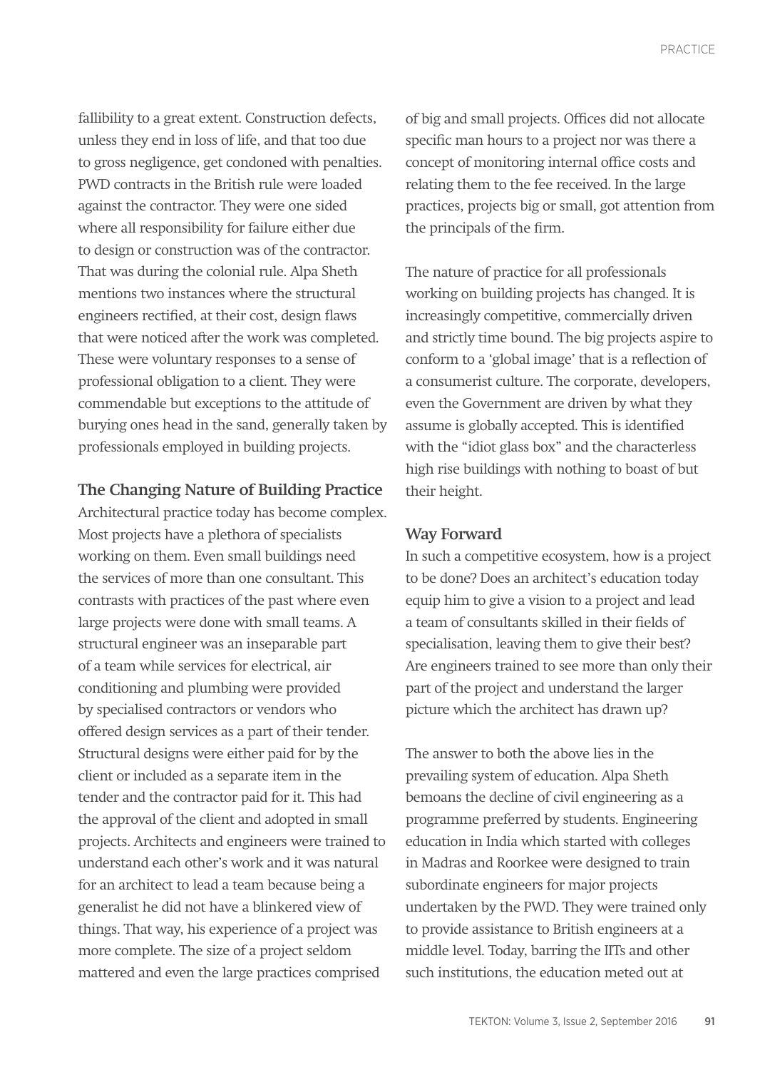fallibility to a great extent. Construction defects, unless they end in loss of life, and that too due to gross negligence, get condoned with penalties. PWD contracts in the British rule were loaded against the contractor. They were one sided where all responsibility for failure either due to design or construction was of the contractor. That was during the colonial rule. Alpa Sheth mentions two instances where the structural engineers rectified, at their cost, design flaws that were noticed after the work was completed. These were voluntary responses to a sense of professional obligation to a client. They were commendable but exceptions to the attitude of burying ones head in the sand, generally taken by professionals employed in building projects.

### **The Changing Nature of Building Practice**

Architectural practice today has become complex. Most projects have a plethora of specialists working on them. Even small buildings need the services of more than one consultant. This contrasts with practices of the past where even large projects were done with small teams. A structural engineer was an inseparable part of a team while services for electrical, air conditioning and plumbing were provided by specialised contractors or vendors who offered design services as a part of their tender. Structural designs were either paid for by the client or included as a separate item in the tender and the contractor paid for it. This had the approval of the client and adopted in small projects. Architects and engineers were trained to understand each other's work and it was natural for an architect to lead a team because being a generalist he did not have a blinkered view of things. That way, his experience of a project was more complete. The size of a project seldom mattered and even the large practices comprised

of big and small projects. Offices did not allocate specific man hours to a project nor was there a concept of monitoring internal office costs and relating them to the fee received. In the large practices, projects big or small, got attention from the principals of the firm.

The nature of practice for all professionals working on building projects has changed. It is increasingly competitive, commercially driven and strictly time bound. The big projects aspire to conform to a 'global image' that is a reflection of a consumerist culture. The corporate, developers, even the Government are driven by what they assume is globally accepted. This is identified with the "idiot glass box" and the characterless high rise buildings with nothing to boast of but their height.

#### **Way Forward**

In such a competitive ecosystem, how is a project to be done? Does an architect's education today equip him to give a vision to a project and lead a team of consultants skilled in their fields of specialisation, leaving them to give their best? Are engineers trained to see more than only their part of the project and understand the larger picture which the architect has drawn up?

The answer to both the above lies in the prevailing system of education. Alpa Sheth bemoans the decline of civil engineering as a programme preferred by students. Engineering education in India which started with colleges in Madras and Roorkee were designed to train subordinate engineers for major projects undertaken by the PWD. They were trained only to provide assistance to British engineers at a middle level. Today, barring the IITs and other such institutions, the education meted out at